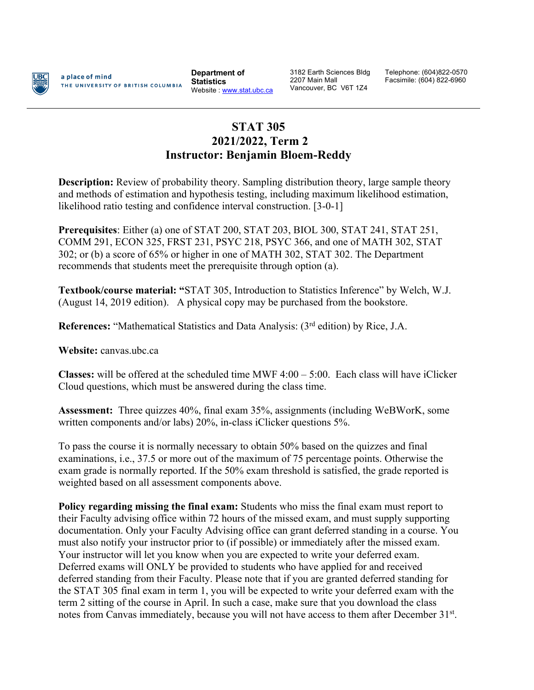

a place of mind THE UNIVERSITY OF BRITISH COLUMBIA

**Department of Statistics** Website : www.stat.ubc.ca

3182 Earth Sciences Bldg 2207 Main Mall Vancouver, BC V6T 1Z4

Telephone: (604)822-0570 Facsimile: (604) 822-6960

## **STAT 305 2021/2022, Term 2 Instructor: Benjamin Bloem-Reddy**

**Description:** Review of probability theory. Sampling distribution theory, large sample theory and methods of estimation and hypothesis testing, including maximum likelihood estimation, likelihood ratio testing and confidence interval construction. [3-0-1]

**Prerequisites**: Either (a) one of STAT 200, STAT 203, BIOL 300, STAT 241, STAT 251, COMM 291, ECON 325, FRST 231, PSYC 218, PSYC 366, and one of MATH 302, STAT 302; or (b) a score of 65% or higher in one of MATH 302, STAT 302. The Department recommends that students meet the prerequisite through option (a).

**Textbook/course material: "**STAT 305, Introduction to Statistics Inference" by Welch, W.J. (August 14, 2019 edition). A physical copy may be purchased from the bookstore.

**References:** "Mathematical Statistics and Data Analysis: (3<sup>rd</sup> edition) by Rice, J.A.

**Website:** canvas.ubc.ca

**Classes:** will be offered at the scheduled time MWF 4:00 – 5:00. Each class will have iClicker Cloud questions, which must be answered during the class time.

**Assessment:** Three quizzes 40%, final exam 35%, assignments (including WeBWorK, some written components and/or labs) 20%, in-class iClicker questions 5%.

To pass the course it is normally necessary to obtain 50% based on the quizzes and final examinations, i.e., 37.5 or more out of the maximum of 75 percentage points. Otherwise the exam grade is normally reported. If the 50% exam threshold is satisfied, the grade reported is weighted based on all assessment components above.

**Policy regarding missing the final exam:** Students who miss the final exam must report to their Faculty advising office within 72 hours of the missed exam, and must supply supporting documentation. Only your Faculty Advising office can grant deferred standing in a course. You must also notify your instructor prior to (if possible) or immediately after the missed exam. Your instructor will let you know when you are expected to write your deferred exam. Deferred exams will ONLY be provided to students who have applied for and received deferred standing from their Faculty. Please note that if you are granted deferred standing for the STAT 305 final exam in term 1, you will be expected to write your deferred exam with the term 2 sitting of the course in April. In such a case, make sure that you download the class notes from Canvas immediately, because you will not have access to them after December 31<sup>st</sup>.